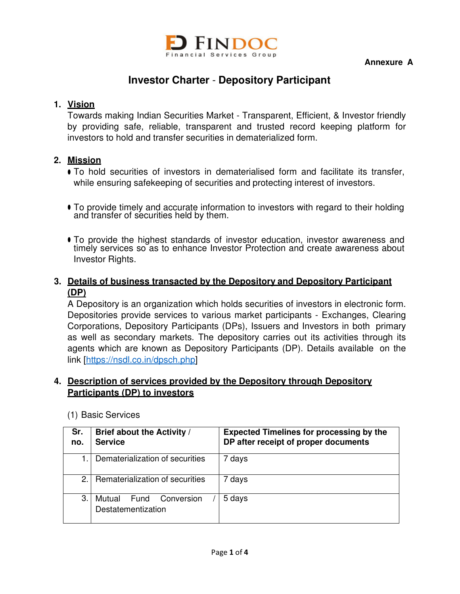

**Annexure A** 

# **Investor Charter** - **Depository Participant**

# **1. Vision**

Towards making Indian Securities Market - Transparent, Efficient, & Investor friendly by providing safe, reliable, transparent and trusted record keeping platform for investors to hold and transfer securities in dematerialized form.

# **2. Mission**

- To hold securities of investors in dematerialised form and facilitate its transfer, while ensuring safekeeping of securities and protecting interest of investors.
- To provide timely and accurate information to investors with regard to their holding and transfer of securities held by them.
- To provide the highest standards of investor education, investor awareness and timely services so as to enhance Investor Protection and create awareness about Investor Rights.

## **3. Details of business transacted by the Depository and Depository Participant (DP)**

A Depository is an organization which holds securities of investors in electronic form. Depositories provide services to various market participants - Exchanges, Clearing Corporations, Depository Participants (DPs), Issuers and Investors in both primary as well as secondary markets. The depository carries out its activities through its agents which are known as Depository Participants (DP). Details available on the link [https://nsdl.co.in/dpsch.php]

# **4. Description of services provided by the Depository through Depository Participants (DP) to investors**

| Sr.<br>no. | Brief about the Activity /<br><b>Service</b>       | <b>Expected Timelines for processing by the</b><br>DP after receipt of proper documents |
|------------|----------------------------------------------------|-----------------------------------------------------------------------------------------|
|            | Dematerialization of securities                    | 7 days                                                                                  |
| 2.         | Rematerialization of securities                    | 7 days                                                                                  |
| 3.         | Mutual<br>Fund<br>Conversion<br>Destatementization | 5 days                                                                                  |

#### (1) Basic Services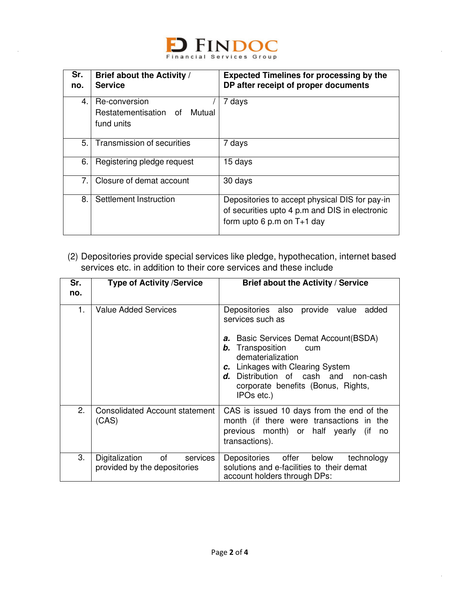

| Sr.<br>no. | Brief about the Activity /<br><b>Service</b>                | <b>Expected Timelines for processing by the</b><br>DP after receipt of proper documents                                          |
|------------|-------------------------------------------------------------|----------------------------------------------------------------------------------------------------------------------------------|
| 4.         | Re-conversion<br>Restatementisation of Mutual<br>fund units | 7 days                                                                                                                           |
| 5.         | Transmission of securities                                  | 7 days                                                                                                                           |
| 6.         | Registering pledge request                                  | 15 days                                                                                                                          |
| 7.         | Closure of demat account                                    | 30 days                                                                                                                          |
| 8.         | Settlement Instruction                                      | Depositories to accept physical DIS for pay-in<br>of securities upto 4 p.m and DIS in electronic<br>form upto 6 p.m on $T+1$ day |

(2) Depositories provide special services like pledge, hypothecation, internet based services etc. in addition to their core services and these include

| Sr.<br>no. | <b>Type of Activity /Service</b>                              | Brief about the Activity / Service                                                                                                                                                                                                                                                           |
|------------|---------------------------------------------------------------|----------------------------------------------------------------------------------------------------------------------------------------------------------------------------------------------------------------------------------------------------------------------------------------------|
| 1.         | <b>Value Added Services</b>                                   | Depositories also provide value<br>added<br>services such as<br>Basic Services Demat Account (BSDA)<br>а.<br>Transposition<br>b.<br>cum<br>dematerialization<br>c. Linkages with Clearing System<br>d. Distribution of cash and non-cash<br>corporate benefits (Bonus, Rights,<br>IPOs etc.) |
| 2.         | <b>Consolidated Account statement</b><br>(CAS)                | CAS is issued 10 days from the end of the<br>month (if there were transactions in the<br>previous month) or half yearly (if<br>no<br>transactions).                                                                                                                                          |
| 3.         | Digitalization of<br>services<br>provided by the depositories | Depositories offer below<br>technology<br>solutions and e-facilities to their demat<br>account holders through DPs:                                                                                                                                                                          |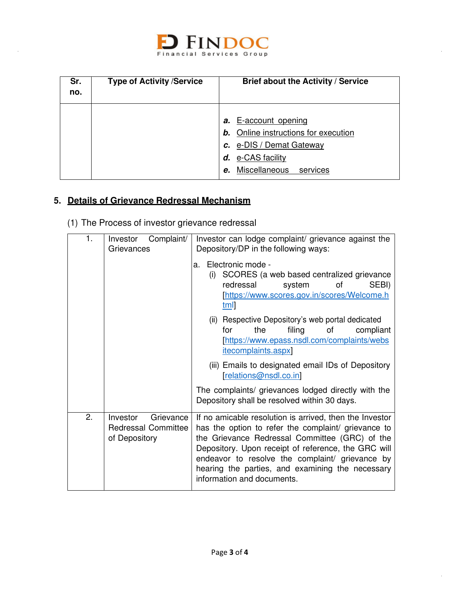

| Sr.<br>no. | <b>Type of Activity /Service</b> | Brief about the Activity / Service                                                                                                                                   |
|------------|----------------------------------|----------------------------------------------------------------------------------------------------------------------------------------------------------------------|
|            |                                  | <b>E-account opening</b><br>а.<br><b>b.</b> Online instructions for execution<br>c. e-DIS / Demat Gateway<br>e-CAS facility<br>d.<br>Miscellaneous<br>services<br>e. |

# **5. Details of Grievance Redressal Mechanism**

(1) The Process of investor grievance redressal

| 1. | Complaint/<br>Investor<br>Grievances                                 | Investor can lodge complaint/ grievance against the<br>Depository/DP in the following ways:                                                                                                                                                                                                                                                                  |  |
|----|----------------------------------------------------------------------|--------------------------------------------------------------------------------------------------------------------------------------------------------------------------------------------------------------------------------------------------------------------------------------------------------------------------------------------------------------|--|
|    |                                                                      | Electronic mode -<br>a.<br>SCORES (a web based centralized grievance<br>(i)<br>redressal<br>οf<br>SEBI)<br>system<br>[https://www.scores.gov.in/scores/Welcome.ht<br>$tm$                                                                                                                                                                                    |  |
|    |                                                                      | (ii) Respective Depository's web portal dedicated<br>the<br>filing<br>of<br>compliant<br>for<br>[https://www.epass.nsdl.com/complaints/webs<br><i>itecomplaints.aspx</i>                                                                                                                                                                                     |  |
|    |                                                                      | (iii) Emails to designated email IDs of Depository<br>relations@nsdl.co.in                                                                                                                                                                                                                                                                                   |  |
|    |                                                                      | The complaints/ grievances lodged directly with the<br>Depository shall be resolved within 30 days.                                                                                                                                                                                                                                                          |  |
| 2. | Grievance<br>Investor<br><b>Redressal Committee</b><br>of Depository | If no amicable resolution is arrived, then the Investor<br>has the option to refer the complaint/ grievance to<br>the Grievance Redressal Committee (GRC) of the<br>Depository. Upon receipt of reference, the GRC will<br>endeavor to resolve the complaint/ grievance by<br>hearing the parties, and examining the necessary<br>information and documents. |  |